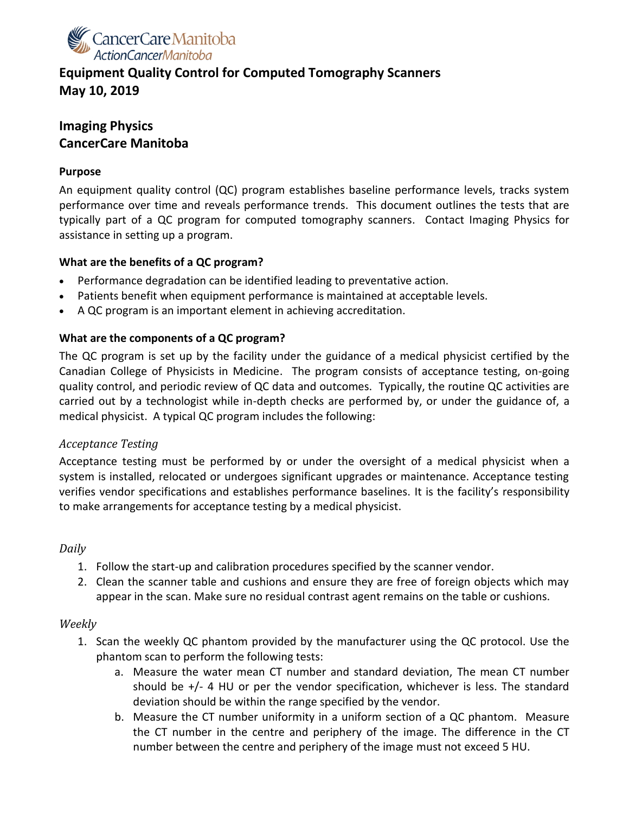

# **Equipment Quality Control for Computed Tomography Scanners May 10, 2019**

# **Imaging Physics CancerCare Manitoba**

### **Purpose**

An equipment quality control (QC) program establishes baseline performance levels, tracks system performance over time and reveals performance trends. This document outlines the tests that are typically part of a QC program for computed tomography scanners. Contact Imaging Physics for assistance in setting up a program.

# **What are the benefits of a QC program?**

- Performance degradation can be identified leading to preventative action.
- Patients benefit when equipment performance is maintained at acceptable levels.
- A QC program is an important element in achieving accreditation.

#### **What are the components of a QC program?**

The QC program is set up by the facility under the guidance of a medical physicist certified by the Canadian College of Physicists in Medicine. The program consists of acceptance testing, on-going quality control, and periodic review of QC data and outcomes. Typically, the routine QC activities are carried out by a technologist while in-depth checks are performed by, or under the guidance of, a medical physicist. A typical QC program includes the following:

#### *Acceptance Testing*

Acceptance testing must be performed by or under the oversight of a medical physicist when a system is installed, relocated or undergoes significant upgrades or maintenance. Acceptance testing verifies vendor specifications and establishes performance baselines. It is the facility's responsibility to make arrangements for acceptance testing by a medical physicist.

# *Daily*

- 1. Follow the start-up and calibration procedures specified by the scanner vendor.
- 2. Clean the scanner table and cushions and ensure they are free of foreign objects which may appear in the scan. Make sure no residual contrast agent remains on the table or cushions.

#### *Weekly*

- 1. Scan the weekly QC phantom provided by the manufacturer using the QC protocol. Use the phantom scan to perform the following tests:
	- a. Measure the water mean CT number and standard deviation, The mean CT number should be +/- 4 HU or per the vendor specification, whichever is less. The standard deviation should be within the range specified by the vendor.
	- b. Measure the CT number uniformity in a uniform section of a QC phantom. Measure the CT number in the centre and periphery of the image. The difference in the CT number between the centre and periphery of the image must not exceed 5 HU.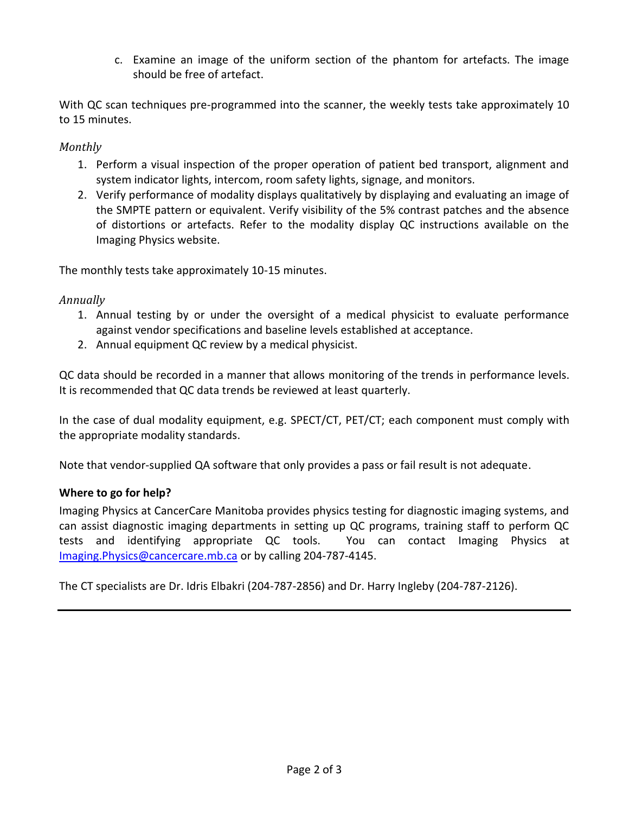c. Examine an image of the uniform section of the phantom for artefacts. The image should be free of artefact.

With QC scan techniques pre-programmed into the scanner, the weekly tests take approximately 10 to 15 minutes.

# *Monthly*

- 1. Perform a visual inspection of the proper operation of patient bed transport, alignment and system indicator lights, intercom, room safety lights, signage, and monitors.
- 2. Verify performance of modality displays qualitatively by displaying and evaluating an image of the SMPTE pattern or equivalent. Verify visibility of the 5% contrast patches and the absence of distortions or artefacts. Refer to the modality display QC instructions available on the Imaging Physics website.

The monthly tests take approximately 10-15 minutes.

# *Annually*

- 1. Annual testing by or under the oversight of a medical physicist to evaluate performance against vendor specifications and baseline levels established at acceptance.
- 2. Annual equipment QC review by a medical physicist.

QC data should be recorded in a manner that allows monitoring of the trends in performance levels. It is recommended that QC data trends be reviewed at least quarterly.

In the case of dual modality equipment, e.g. SPECT/CT, PET/CT; each component must comply with the appropriate modality standards.

Note that vendor-supplied QA software that only provides a pass or fail result is not adequate.

# **Where to go for help?**

Imaging Physics at CancerCare Manitoba provides physics testing for diagnostic imaging systems, and can assist diagnostic imaging departments in setting up QC programs, training staff to perform QC tests and identifying appropriate QC tools. You can contact Imaging Physics at [Imaging.Physics@cancercare.mb.ca](mailto:Imaging.Physics@cancercare.mb.ca) or by calling 204-787-4145.

The CT specialists are Dr. Idris Elbakri (204-787-2856) and Dr. Harry Ingleby (204-787-2126).